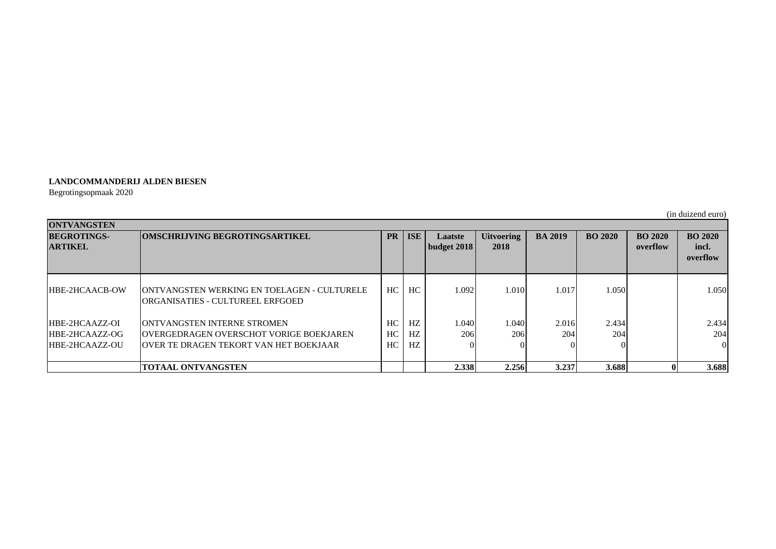## **LANDCOMMANDERIJ ALDEN BIESEN**

Begrotingsopmaak 2020

(in duizend euro)

| <b>ONTVANGSTEN</b>    |                                                                                          |     |            |                    |                   |                |                |                |                   |
|-----------------------|------------------------------------------------------------------------------------------|-----|------------|--------------------|-------------------|----------------|----------------|----------------|-------------------|
| <b>BEGROTINGS-</b>    | <b>OMSCHRLIVING BEGROTINGSARTIKEL</b><br><b>PR</b>                                       |     | <b>ISE</b> | Laatste            | <b>Uitvoering</b> | <b>BA 2019</b> | <b>BO 2020</b> | <b>BO 2020</b> | <b>BO 2020</b>    |
| <b>ARTIKEL</b>        |                                                                                          |     |            | <b>budget 2018</b> | 2018              |                |                | overflow       | incl.<br>overflow |
| <b>HBE-2HCAACB-OW</b> | <b>JONTVANGSTEN WERKING EN TOELAGEN - CULTURELE</b><br>IORGANISATIES - CULTUREEL ERFGOED | HC  | HC         | 1.092              | 1.010             | 1.017          | 1.050          |                | 1.050             |
| HBE-2HCAAZZ-OI        | <b>IONTVANGSTEN INTERNE STROMEN</b>                                                      | HC. | HZ         | 1.040              | 1.040             | 2.016          | 2.434          |                | 2.434             |
| HBE-2HCAAZZ-OG        | <b>IOVERGEDRAGEN OVERSCHOT VORIGE BOEKJAREN</b>                                          | HC. | HZ.        | 206                | 206               | 204            | 204            |                | 204               |
| <b>HBE-2HCAAZZ-OU</b> | <b>JOVER TE DRAGEN TEKORT VAN HET BOEKJAAR</b>                                           | HC. | HZ         |                    |                   |                |                |                | $\Omega$          |
|                       | <b>TOTAAL ONTVANGSTEN</b>                                                                |     |            | 2.338              | 2.256             | 3.237          | 3.688          |                | 3.688             |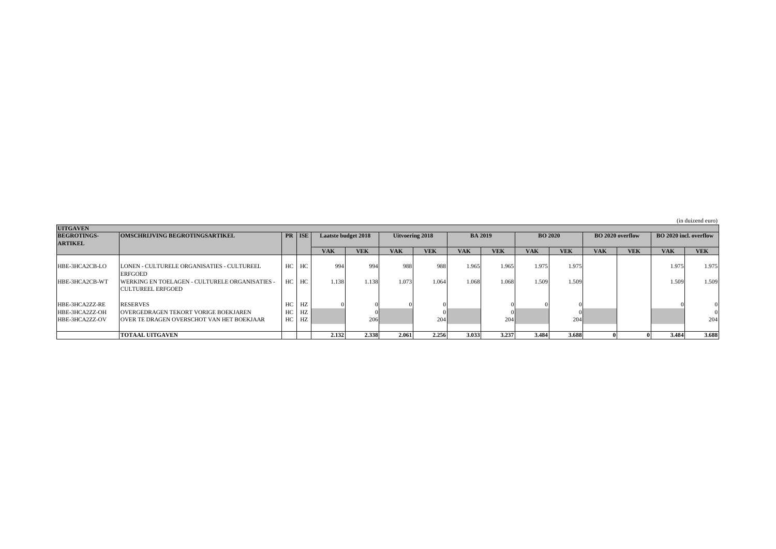|  | (in duizend euro) |  |
|--|-------------------|--|
|--|-------------------|--|

| <b>UITGAVEN</b>    |                                                        |    |        |                            |            |                        |            |                |            |                |            |                  |            |                               |            |  |
|--------------------|--------------------------------------------------------|----|--------|----------------------------|------------|------------------------|------------|----------------|------------|----------------|------------|------------------|------------|-------------------------------|------------|--|
| <b>BEGROTINGS-</b> | <b>OMSCHRIJVING BEGROTINGSARTIKEL</b>                  |    | PR ISE | <b>Laatste budget 2018</b> |            | <b>Uitvoering 2018</b> |            | <b>BA 2019</b> |            | <b>BO 2020</b> |            | BO 2020 overflow |            | <b>BO</b> 2020 incl. overflow |            |  |
| <b>ARTIKEL</b>     |                                                        |    |        |                            |            |                        |            |                |            |                |            |                  |            |                               |            |  |
|                    |                                                        |    |        | <b>VAK</b>                 | <b>VEK</b> | <b>VAK</b>             | <b>VEK</b> | <b>VAK</b>     | <b>VEK</b> | <b>VAK</b>     | <b>VEK</b> | <b>VAK</b>       | <b>VEK</b> | <b>VAK</b>                    | <b>VEK</b> |  |
|                    |                                                        |    |        |                            |            |                        |            |                |            |                |            |                  |            |                               |            |  |
| HBE-3HCA2CB-LO     | LONEN - CULTURELE ORGANISATIES - CULTUREEL             | HC | HC     | 994                        | 994        | 988                    | 988        | 1.965          | 1.965      | 1.975          | 1.975      |                  |            | 1.975                         | 1.975      |  |
|                    | <b>ERFGOED</b>                                         |    |        |                            |            |                        |            |                |            |                |            |                  |            |                               |            |  |
| HBE-3HCA2CB-WT     | <b>IWERKING EN TOELAGEN - CULTURELE ORGANISATIES -</b> | HC | HC     | 1.138                      | 1.138      | 1.073                  | 1.064      | 1.068          | 1.068      | 1.509          | 1.509      |                  |            | 1.509'                        | 1.509      |  |
|                    | <b>ICULTUREEL ERFGOED</b>                              |    |        |                            |            |                        |            |                |            |                |            |                  |            |                               |            |  |
|                    |                                                        |    |        |                            |            |                        |            |                |            |                |            |                  |            |                               |            |  |
| HBE-3HCA2ZZ-RE     | <b>RESERVES</b>                                        | HC | HZ     |                            |            |                        |            |                |            |                |            |                  |            |                               |            |  |
| HBE-3HCA2ZZ-OH     | <b>OVERGEDRAGEN TEKORT VORIGE BOEKJAREN</b>            | HC | HZ     |                            |            |                        |            |                |            |                |            |                  |            |                               |            |  |
| HBE-3HCA2ZZ-OV     | <b>JOVER TE DRAGEN OVERSCHOT VAN HET BOEKJAAR</b>      | HC | HZ     |                            | 206        |                        | 204        |                | 204        |                | 204        |                  |            |                               | 204        |  |
|                    |                                                        |    |        |                            |            |                        |            |                |            |                |            |                  |            |                               |            |  |
|                    | <b>TOTAAL UITGAVEN</b>                                 |    |        | 2.132                      | 2.338      | 2.061                  | 2.256      | 3.033          | 3.237      | 3.484          | 3.688      |                  |            | 3.484                         | 3.688      |  |